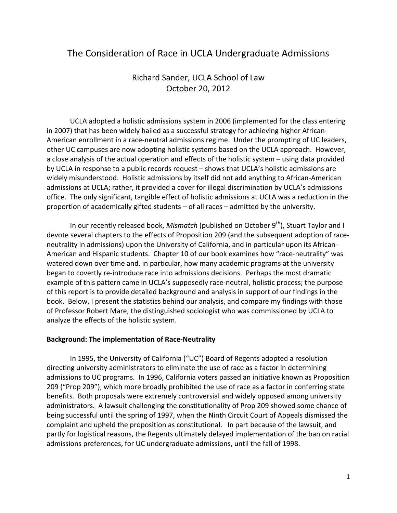# The Consideration of Race in UCLA Undergraduate Admissions

## Richard Sander, UCLA School of Law October 20, 2012

 UCLA adopted a holistic admissions system in 2006 (implemented for the class entering in 2007) that has been widely hailed as a successful strategy for achieving higher African-American enrollment in a race-neutral admissions regime. Under the prompting of UC leaders, other UC campuses are now adopting holistic systems based on the UCLA approach. However, a close analysis of the actual operation and effects of the holistic system – using data provided by UCLA in response to a public records request – shows that UCLA's holistic admissions are widely misunderstood. Holistic admissions by itself did not add anything to African-American admissions at UCLA; rather, it provided a cover for illegal discrimination by UCLA's admissions office. The only significant, tangible effect of holistic admissions at UCLA was a reduction in the proportion of academically gifted students – of all races – admitted by the university.

In our recently released book, *Mismatch* (published on October 9<sup>th</sup>), Stuart Taylor and I devote several chapters to the effects of Proposition 209 (and the subsequent adoption of raceneutrality in admissions) upon the University of California, and in particular upon its African-American and Hispanic students. Chapter 10 of our book examines how "race-neutrality" was watered down over time and, in particular, how many academic programs at the university began to covertly re-introduce race into admissions decisions. Perhaps the most dramatic example of this pattern came in UCLA's supposedly race-neutral, holistic process; the purpose of this report is to provide detailed background and analysis in support of our findings in the book. Below, I present the statistics behind our analysis, and compare my findings with those of Professor Robert Mare, the distinguished sociologist who was commissioned by UCLA to analyze the effects of the holistic system.

## **Background: The implementation of Race-Neutrality**

 In 1995, the University of California ("UC") Board of Regents adopted a resolution directing university administrators to eliminate the use of race as a factor in determining admissions to UC programs. In 1996, California voters passed an initiative known as Proposition 209 ("Prop 209"), which more broadly prohibited the use of race as a factor in conferring state benefits. Both proposals were extremely controversial and widely opposed among university administrators. A lawsuit challenging the constitutionality of Prop 209 showed some chance of being successful until the spring of 1997, when the Ninth Circuit Court of Appeals dismissed the complaint and upheld the proposition as constitutional. In part because of the lawsuit, and partly for logistical reasons, the Regents ultimately delayed implementation of the ban on racial admissions preferences, for UC undergraduate admissions, until the fall of 1998.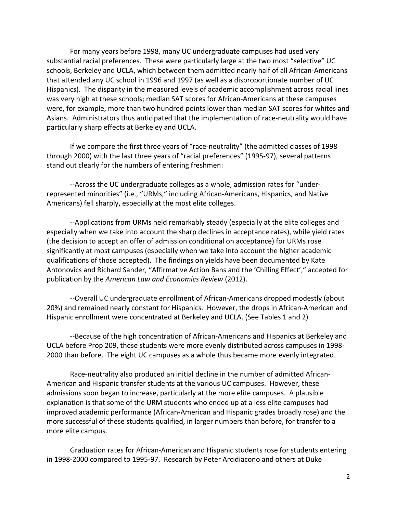For many years before 1998, many UC undergraduate campuses had used very substantial racial preferences. These were particularly large at the two most "selective" UC schools, Berkeley and UCLA, which between them admitted nearly half of all African-Americans that attended any UC school in 1996 and 1997 (as well as a disproportionate number of UC Hispanics). The disparity in the measured levels of academic accomplishment across racial lines was very high at these schools; median SAT scores for African-Americans at these campuses were, for example, more than two hundred points lower than median SAT scores for whites and Asians. Administrators thus anticipated that the implementation of race-neutrality would have particularly sharp effects at Berkeley and UCLA.

 If we compare the first three years of "race-neutrality" (the admitted classes of 1998 through 2000) with the last three years of "racial preferences" (1995-97), several patterns stand out clearly for the numbers of entering freshmen:

 --Across the UC undergraduate colleges as a whole, admission rates for "underrepresented minorities" (i.e., "URMs," including African-Americans, Hispanics, and Native Americans) fell sharply, especially at the most elite colleges.

--Applications from URMs held remarkably steady (especially at the elite colleges and especially when we take into account the sharp declines in acceptance rates), while yield rates (the decision to accept an offer of admission conditional on acceptance) for URMs rose significantly at most campuses (especially when we take into account the higher academic qualifications of those accepted). The findings on yields have been documented by Kate Antonovics and Richard Sander, "Affirmative Action Bans and the 'Chilling Effect'," accepted for publication by the *American Law and Economics Review* (2012).

--Overall UC undergraduate enrollment of African-Americans dropped modestly (about 20%) and remained nearly constant for Hispanics. However, the drops in African-American and Hispanic enrollment were concentrated at Berkeley and UCLA. (See Tables 1 and 2)

--Because of the high concentration of African-Americans and Hispanics at Berkeley and UCLA before Prop 209, these students were more evenly distributed across campuses in 1998- 2000 than before. The eight UC campuses as a whole thus became more evenly integrated.

Race-neutrality also produced an initial decline in the number of admitted African-American and Hispanic transfer students at the various UC campuses. However, these admissions soon began to increase, particularly at the more elite campuses. A plausible explanation is that some of the URM students who ended up at a less elite campuses had improved academic performance (African-American and Hispanic grades broadly rose) and the more successful of these students qualified, in larger numbers than before, for transfer to a more elite campus.

Graduation rates for African-American and Hispanic students rose for students entering in 1998-2000 compared to 1995-97. Research by Peter Arcidiacono and others at Duke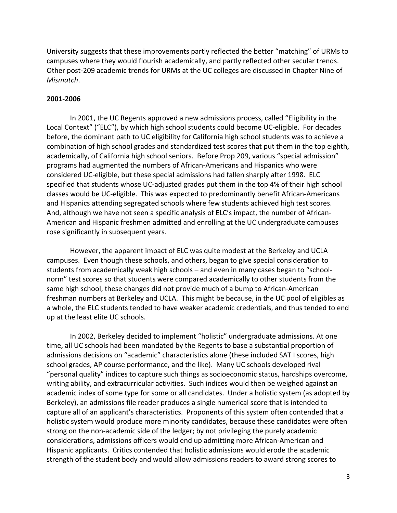University suggests that these improvements partly reflected the better "matching" of URMs to campuses where they would flourish academically, and partly reflected other secular trends. Other post-209 academic trends for URMs at the UC colleges are discussed in Chapter Nine of *Mismatch*.

#### **2001-2006**

 In 2001, the UC Regents approved a new admissions process, called "Eligibility in the Local Context" ("ELC"), by which high school students could become UC-eligible. For decades before, the dominant path to UC eligibility for California high school students was to achieve a combination of high school grades and standardized test scores that put them in the top eighth, academically, of California high school seniors. Before Prop 209, various "special admission" programs had augmented the numbers of African-Americans and Hispanics who were considered UC-eligible, but these special admissions had fallen sharply after 1998. ELC specified that students whose UC-adjusted grades put them in the top 4% of their high school classes would be UC-eligible. This was expected to predominantly benefit African-Americans and Hispanics attending segregated schools where few students achieved high test scores. And, although we have not seen a specific analysis of ELC's impact, the number of African-American and Hispanic freshmen admitted and enrolling at the UC undergraduate campuses rose significantly in subsequent years.

 However, the apparent impact of ELC was quite modest at the Berkeley and UCLA campuses. Even though these schools, and others, began to give special consideration to students from academically weak high schools – and even in many cases began to "schoolnorm" test scores so that students were compared academically to other students from the same high school, these changes did not provide much of a bump to African-American freshman numbers at Berkeley and UCLA. This might be because, in the UC pool of eligibles as a whole, the ELC students tended to have weaker academic credentials, and thus tended to end up at the least elite UC schools.

 In 2002, Berkeley decided to implement "holistic" undergraduate admissions. At one time, all UC schools had been mandated by the Regents to base a substantial proportion of admissions decisions on "academic" characteristics alone (these included SAT I scores, high school grades, AP course performance, and the like). Many UC schools developed rival "personal quality" indices to capture such things as socioeconomic status, hardships overcome, writing ability, and extracurricular activities. Such indices would then be weighed against an academic index of some type for some or all candidates. Under a holistic system (as adopted by Berkeley), an admissions file reader produces a single numerical score that is intended to capture all of an applicant's characteristics. Proponents of this system often contended that a holistic system would produce more minority candidates, because these candidates were often strong on the non-academic side of the ledger; by not privileging the purely academic considerations, admissions officers would end up admitting more African-American and Hispanic applicants. Critics contended that holistic admissions would erode the academic strength of the student body and would allow admissions readers to award strong scores to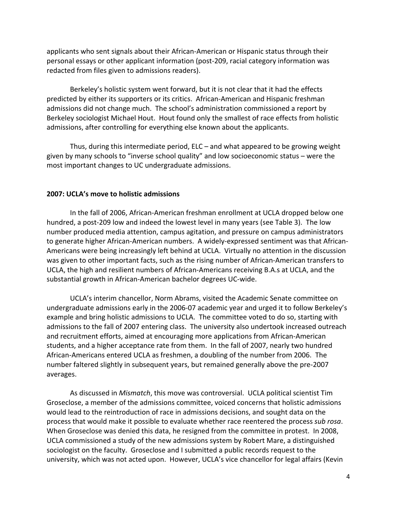applicants who sent signals about their African-American or Hispanic status through their personal essays or other applicant information (post-209, racial category information was redacted from files given to admissions readers).

 Berkeley's holistic system went forward, but it is not clear that it had the effects predicted by either its supporters or its critics. African-American and Hispanic freshman admissions did not change much. The school's administration commissioned a report by Berkeley sociologist Michael Hout. Hout found only the smallest of race effects from holistic admissions, after controlling for everything else known about the applicants.

 Thus, during this intermediate period, ELC – and what appeared to be growing weight given by many schools to "inverse school quality" and low socioeconomic status – were the most important changes to UC undergraduate admissions.

## **2007: UCLA's move to holistic admissions**

 In the fall of 2006, African-American freshman enrollment at UCLA dropped below one hundred, a post-209 low and indeed the lowest level in many years (see Table 3). The low number produced media attention, campus agitation, and pressure on campus administrators to generate higher African-American numbers. A widely-expressed sentiment was that African-Americans were being increasingly left behind at UCLA. Virtually no attention in the discussion was given to other important facts, such as the rising number of African-American transfers to UCLA, the high and resilient numbers of African-Americans receiving B.A.s at UCLA, and the substantial growth in African-American bachelor degrees UC-wide.

 UCLA's interim chancellor, Norm Abrams, visited the Academic Senate committee on undergraduate admissions early in the 2006-07 academic year and urged it to follow Berkeley's example and bring holistic admissions to UCLA. The committee voted to do so, starting with admissions to the fall of 2007 entering class. The university also undertook increased outreach and recruitment efforts, aimed at encouraging more applications from African-American students, and a higher acceptance rate from them. In the fall of 2007, nearly two hundred African-Americans entered UCLA as freshmen, a doubling of the number from 2006. The number faltered slightly in subsequent years, but remained generally above the pre-2007 averages.

 As discussed in *Mismatch*, this move was controversial. UCLA political scientist Tim Groseclose, a member of the admissions committee, voiced concerns that holistic admissions would lead to the reintroduction of race in admissions decisions, and sought data on the process that would make it possible to evaluate whether race reentered the process *sub rosa*. When Groseclose was denied this data, he resigned from the committee in protest. In 2008, UCLA commissioned a study of the new admissions system by Robert Mare, a distinguished sociologist on the faculty. Groseclose and I submitted a public records request to the university, which was not acted upon. However, UCLA's vice chancellor for legal affairs (Kevin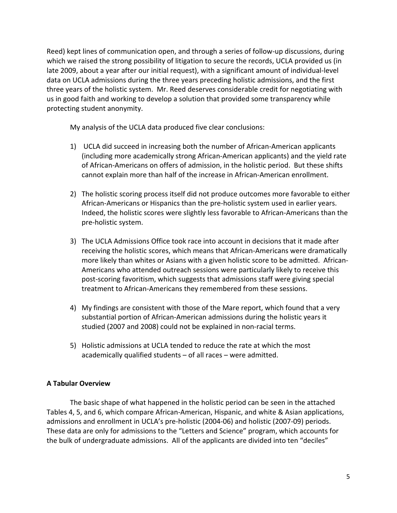Reed) kept lines of communication open, and through a series of follow-up discussions, during which we raised the strong possibility of litigation to secure the records, UCLA provided us (in late 2009, about a year after our initial request), with a significant amount of individual-level data on UCLA admissions during the three years preceding holistic admissions, and the first three years of the holistic system. Mr. Reed deserves considerable credit for negotiating with us in good faith and working to develop a solution that provided some transparency while protecting student anonymity.

My analysis of the UCLA data produced five clear conclusions:

- 1) UCLA did succeed in increasing both the number of African-American applicants (including more academically strong African-American applicants) and the yield rate of African-Americans on offers of admission, in the holistic period. But these shifts cannot explain more than half of the increase in African-American enrollment.
- 2) The holistic scoring process itself did not produce outcomes more favorable to either African-Americans or Hispanics than the pre-holistic system used in earlier years. Indeed, the holistic scores were slightly less favorable to African-Americans than the pre-holistic system.
- 3) The UCLA Admissions Office took race into account in decisions that it made after receiving the holistic scores, which means that African-Americans were dramatically more likely than whites or Asians with a given holistic score to be admitted. African-Americans who attended outreach sessions were particularly likely to receive this post-scoring favoritism, which suggests that admissions staff were giving special treatment to African-Americans they remembered from these sessions.
- 4) My findings are consistent with those of the Mare report, which found that a very substantial portion of African-American admissions during the holistic years it studied (2007 and 2008) could not be explained in non-racial terms.
- 5) Holistic admissions at UCLA tended to reduce the rate at which the most academically qualified students – of all races – were admitted.

## **A Tabular Overview**

The basic shape of what happened in the holistic period can be seen in the attached Tables 4, 5, and 6, which compare African-American, Hispanic, and white & Asian applications, admissions and enrollment in UCLA's pre-holistic (2004-06) and holistic (2007-09) periods. These data are only for admissions to the "Letters and Science" program, which accounts for the bulk of undergraduate admissions. All of the applicants are divided into ten "deciles"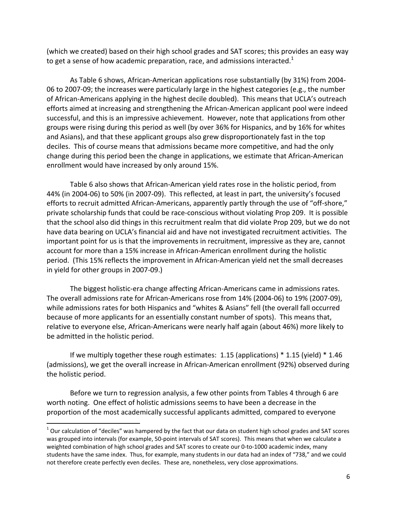(which we created) based on their high school grades and SAT scores; this provides an easy way to get a sense of how academic preparation, race, and admissions interacted.<sup>1</sup>

As Table 6 shows, African-American applications rose substantially (by 31%) from 2004- 06 to 2007-09; the increases were particularly large in the highest categories (e.g., the number of African-Americans applying in the highest decile doubled). This means that UCLA's outreach efforts aimed at increasing and strengthening the African-American applicant pool were indeed successful, and this is an impressive achievement. However, note that applications from other groups were rising during this period as well (by over 36% for Hispanics, and by 16% for whites and Asians), and that these applicant groups also grew disproportionately fast in the top deciles. This of course means that admissions became more competitive, and had the only change during this period been the change in applications, we estimate that African-American enrollment would have increased by only around 15%.

 Table 6 also shows that African-American yield rates rose in the holistic period, from 44% (in 2004-06) to 50% (in 2007-09). This reflected, at least in part, the university's focused efforts to recruit admitted African-Americans, apparently partly through the use of "off-shore," private scholarship funds that could be race-conscious without violating Prop 209. It is possible that the school also did things in this recruitment realm that did violate Prop 209, but we do not have data bearing on UCLA's financial aid and have not investigated recruitment activities. The important point for us is that the improvements in recruitment, impressive as they are, cannot account for more than a 15% increase in African-American enrollment during the holistic period. (This 15% reflects the improvement in African-American yield net the small decreases in yield for other groups in 2007-09.)

 The biggest holistic-era change affecting African-Americans came in admissions rates. The overall admissions rate for African-Americans rose from 14% (2004-06) to 19% (2007-09), while admissions rates for both Hispanics and "whites & Asians" fell (the overall fall occurred because of more applicants for an essentially constant number of spots). This means that, relative to everyone else, African-Americans were nearly half again (about 46%) more likely to be admitted in the holistic period.

 If we multiply together these rough estimates: 1.15 (applications) \* 1.15 (yield) \* 1.46 (admissions), we get the overall increase in African-American enrollment (92%) observed during the holistic period.

 Before we turn to regression analysis, a few other points from Tables 4 through 6 are worth noting. One effect of holistic admissions seems to have been a decrease in the proportion of the most academically successful applicants admitted, compared to everyone

 $\overline{\phantom{a}}$ 

 $^1$  Our calculation of "deciles" was hampered by the fact that our data on student high school grades and SAT scores was grouped into intervals (for example, 50-point intervals of SAT scores). This means that when we calculate a weighted combination of high school grades and SAT scores to create our 0-to-1000 academic index, many students have the same index. Thus, for example, many students in our data had an index of "738," and we could not therefore create perfectly even deciles. These are, nonetheless, very close approximations.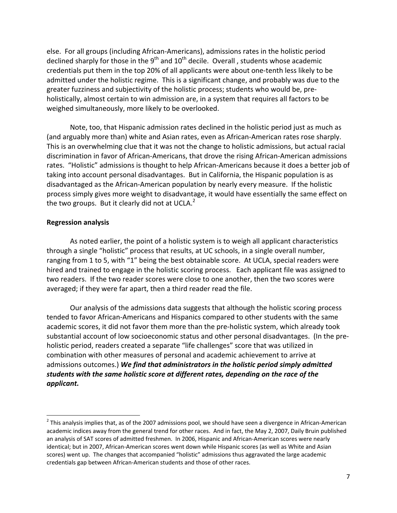else. For all groups (including African-Americans), admissions rates in the holistic period declined sharply for those in the  $9<sup>th</sup>$  and  $10<sup>th</sup>$  decile. Overall, students whose academic credentials put them in the top 20% of all applicants were about one-tenth less likely to be admitted under the holistic regime. This is a significant change, and probably was due to the greater fuzziness and subjectivity of the holistic process; students who would be, preholistically, almost certain to win admission are, in a system that requires all factors to be weighed simultaneously, more likely to be overlooked.

 Note, too, that Hispanic admission rates declined in the holistic period just as much as (and arguably more than) white and Asian rates, even as African-American rates rose sharply. This is an overwhelming clue that it was not the change to holistic admissions, but actual racial discrimination in favor of African-Americans, that drove the rising African-American admissions rates. "Holistic" admissions is thought to help African-Americans because it does a better job of taking into account personal disadvantages. But in California, the Hispanic population is as disadvantaged as the African-American population by nearly every measure. If the holistic process simply gives more weight to disadvantage, it would have essentially the same effect on the two groups. But it clearly did not at UCLA. $<sup>2</sup>$ </sup>

## **Regression analysis**

 $\overline{a}$ 

 As noted earlier, the point of a holistic system is to weigh all applicant characteristics through a single "holistic" process that results, at UC schools, in a single overall number, ranging from 1 to 5, with "1" being the best obtainable score. At UCLA, special readers were hired and trained to engage in the holistic scoring process. Each applicant file was assigned to two readers. If the two reader scores were close to one another, then the two scores were averaged; if they were far apart, then a third reader read the file.

 Our analysis of the admissions data suggests that although the holistic scoring process tended to favor African-Americans and Hispanics compared to other students with the same academic scores, it did not favor them more than the pre-holistic system, which already took substantial account of low socioeconomic status and other personal disadvantages. (In the preholistic period, readers created a separate "life challenges" score that was utilized in combination with other measures of personal and academic achievement to arrive at admissions outcomes.) *We find that administrators in the holistic period simply admitted students with the same holistic score at different rates, depending on the race of the applicant.* 

 $^2$  This analysis implies that, as of the 2007 admissions pool, we should have seen a divergence in African-American academic indices away from the general trend for other races. And in fact, the May 2, 2007, Daily Bruin published an analysis of SAT scores of admitted freshmen. In 2006, Hispanic and African-American scores were nearly identical; but in 2007, African-American scores went down while Hispanic scores (as well as White and Asian scores) went up. The changes that accompanied "holistic" admissions thus aggravated the large academic credentials gap between African-American students and those of other races.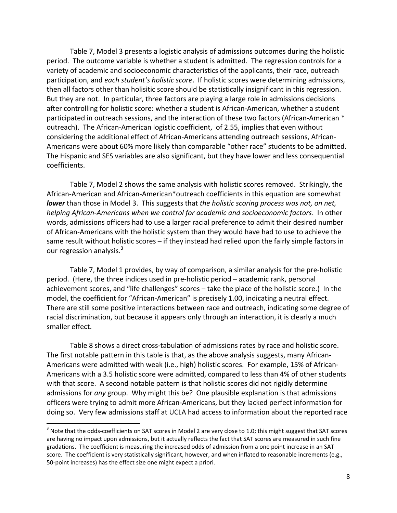Table 7, Model 3 presents a logistic analysis of admissions outcomes during the holistic period. The outcome variable is whether a student is admitted. The regression controls for a variety of academic and socioeconomic characteristics of the applicants, their race, outreach participation, and *each student's holistic score*. If holistic scores were determining admissions, then all factors other than holisitic score should be statistically insignificant in this regression. But they are not. In particular, three factors are playing a large role in admissions decisions after controlling for holistic score: whether a student is African-American, whether a student participated in outreach sessions, and the interaction of these two factors (African-American \* outreach). The African-American logistic coefficient, of 2.55, implies that even without considering the additional effect of African-Americans attending outreach sessions, African-Americans were about 60% more likely than comparable "other race" students to be admitted. The Hispanic and SES variables are also significant, but they have lower and less consequential coefficients.

 Table 7, Model 2 shows the same analysis with holistic scores removed. Strikingly, the African-American and African-American\*outreach coefficients in this equation are somewhat *lower* than those in Model 3. This suggests that *the holistic scoring process was not, on net, helping African-Americans when we control for academic and socioeconomic factors*. In other words, admissions officers had to use a larger racial preference to admit their desired number of African-Americans with the holistic system than they would have had to use to achieve the same result without holistic scores – if they instead had relied upon the fairly simple factors in our regression analysis.<sup>3</sup>

 Table 7, Model 1 provides, by way of comparison, a similar analysis for the pre-holistic period. (Here, the three indices used in pre-holistic period – academic rank, personal achievement scores, and "life challenges" scores – take the place of the holistic score.) In the model, the coefficient for "African-American" is precisely 1.00, indicating a neutral effect. There are still some positive interactions between race and outreach, indicating some degree of racial discrimination, but because it appears only through an interaction, it is clearly a much smaller effect.

 Table 8 shows a direct cross-tabulation of admissions rates by race and holistic score. The first notable pattern in this table is that, as the above analysis suggests, many African-Americans were admitted with weak (i.e., high) holistic scores. For example, 15% of African-Americans with a 3.5 holistic score were admitted, compared to less than 4% of other students with that score. A second notable pattern is that holistic scores did not rigidly determine admissions for *any* group. Why might this be? One plausible explanation is that admissions officers were trying to admit more African-Americans, but they lacked perfect information for doing so. Very few admissions staff at UCLA had access to information about the reported race

 $\overline{\phantom{a}}$ 

 $^3$  Note that the odds-coefficients on SAT scores in Model 2 are very close to 1.0; this might suggest that SAT scores are having no impact upon admissions, but it actually reflects the fact that SAT scores are measured in such fine gradations. The coefficient is measuring the increased odds of admission from a one point increase in an SAT score. The coefficient is very statistically significant, however, and when inflated to reasonable increments (e.g., 50-point increases) has the effect size one might expect a priori.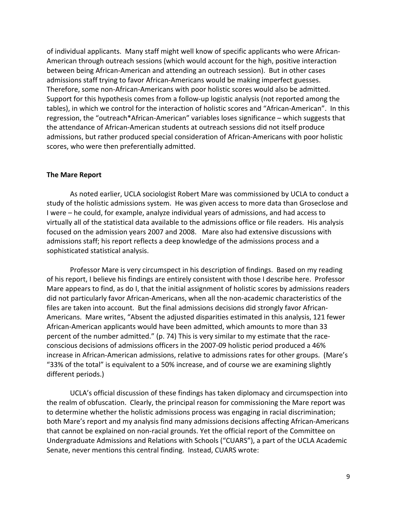of individual applicants. Many staff might well know of specific applicants who were African-American through outreach sessions (which would account for the high, positive interaction between being African-American and attending an outreach session). But in other cases admissions staff trying to favor African-Americans would be making imperfect guesses. Therefore, some non-African-Americans with poor holistic scores would also be admitted. Support for this hypothesis comes from a follow-up logistic analysis (not reported among the tables), in which we control for the interaction of holistic scores and "African-American". In this regression, the "outreach\*African-American" variables loses significance – which suggests that the attendance of African-American students at outreach sessions did not itself produce admissions, but rather produced special consideration of African-Americans with poor holistic scores, who were then preferentially admitted.

### **The Mare Report**

 As noted earlier, UCLA sociologist Robert Mare was commissioned by UCLA to conduct a study of the holistic admissions system. He was given access to more data than Groseclose and I were – he could, for example, analyze individual years of admissions, and had access to virtually all of the statistical data available to the admissions office or file readers. His analysis focused on the admission years 2007 and 2008. Mare also had extensive discussions with admissions staff; his report reflects a deep knowledge of the admissions process and a sophisticated statistical analysis.

 Professor Mare is very circumspect in his description of findings. Based on my reading of his report, I believe his findings are entirely consistent with those I describe here. Professor Mare appears to find, as do I, that the initial assignment of holistic scores by admissions readers did not particularly favor African-Americans, when all the non-academic characteristics of the files are taken into account. But the final admissions decisions did strongly favor African-Americans. Mare writes, "Absent the adjusted disparities estimated in this analysis, 121 fewer African-American applicants would have been admitted, which amounts to more than 33 percent of the number admitted." (p. 74) This is very similar to my estimate that the raceconscious decisions of admissions officers in the 2007-09 holistic period produced a 46% increase in African-American admissions, relative to admissions rates for other groups. (Mare's "33% of the total" is equivalent to a 50% increase, and of course we are examining slightly different periods.)

 UCLA's official discussion of these findings has taken diplomacy and circumspection into the realm of obfuscation. Clearly, the principal reason for commissioning the Mare report was to determine whether the holistic admissions process was engaging in racial discrimination; both Mare's report and my analysis find many admissions decisions affecting African-Americans that cannot be explained on non-racial grounds. Yet the official report of the Committee on Undergraduate Admissions and Relations with Schools ("CUARS"), a part of the UCLA Academic Senate, never mentions this central finding. Instead, CUARS wrote: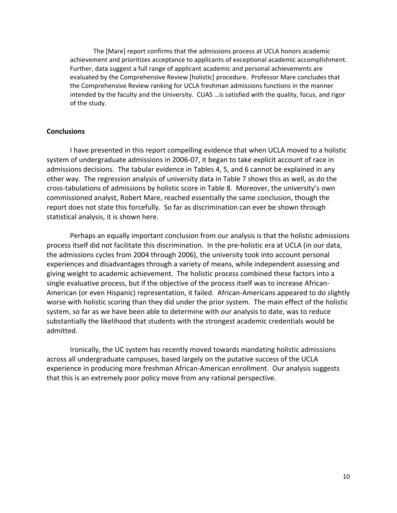The [Mare] report confirms that the admissions process at UCLA honors academic achievement and prioritizes acceptance to applicants of exceptional academic accomplishment. Further, data suggest a full range of applicant academic and personal achievements are evaluated by the Comprehensive Review [holistic] procedure. Professor Mare concludes that the Comprehensive Review ranking for UCLA freshman admissions functions in the manner intended by the faculty and the University. CUAS …is satisfied with the quality, focus, and rigor of the study.

## **Conclusions**

 I have presented in this report compelling evidence that when UCLA moved to a holistic system of undergraduate admissions in 2006-07, it began to take explicit account of race in admissions decisions. The tabular evidence in Tables 4, 5, and 6 cannot be explained in any other way. The regression analysis of university data in Table 7 shows this as well, as do the cross-tabulations of admissions by holistic score in Table 8. Moreover, the university's own commissioned analyst, Robert Mare, reached essentially the same conclusion, though the report does not state this forcefully. So far as discrimination can ever be shown through statistical analysis, it is shown here.

 Perhaps an equally important conclusion from our analysis is that the holistic admissions process itself did not facilitate this discrimination. In the pre-holistic era at UCLA (in our data, the admissions cycles from 2004 through 2006), the university took into account personal experiences and disadvantages through a variety of means, while independent assessing and giving weight to academic achievement. The holistic process combined these factors into a single evaluative process, but if the objective of the process itself was to increase African-American (or even Hispanic) representation, it failed. African-Americans appeared to do slightly worse with holistic scoring than they did under the prior system. The main effect of the holistic system, so far as we have been able to determine with our analysis to date, was to reduce substantially the likelihood that students with the strongest academic credentials would be admitted.

 Ironically, the UC system has recently moved towards mandating holistic admissions across all undergraduate campuses, based largely on the putative success of the UCLA experience in producing more freshman African-American enrollment. Our analysis suggests that this is an extremely poor policy move from any rational perspective.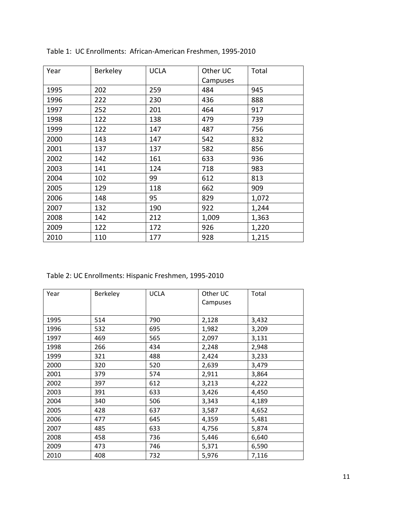| Year | Berkeley | <b>UCLA</b> | Other UC | Total |
|------|----------|-------------|----------|-------|
|      |          |             | Campuses |       |
| 1995 | 202      | 259         | 484      | 945   |
| 1996 | 222      | 230         | 436      | 888   |
| 1997 | 252      | 201         | 464      | 917   |
| 1998 | 122      | 138         | 479      | 739   |
| 1999 | 122      | 147         | 487      | 756   |
| 2000 | 143      | 147         | 542      | 832   |
| 2001 | 137      | 137         | 582      | 856   |
| 2002 | 142      | 161         | 633      | 936   |
| 2003 | 141      | 124         | 718      | 983   |
| 2004 | 102      | 99          | 612      | 813   |
| 2005 | 129      | 118         | 662      | 909   |
| 2006 | 148      | 95          | 829      | 1,072 |
| 2007 | 132      | 190         | 922      | 1,244 |
| 2008 | 142      | 212         | 1,009    | 1,363 |
| 2009 | 122      | 172         | 926      | 1,220 |
| 2010 | 110      | 177         | 928      | 1,215 |

Table 1: UC Enrollments: African-American Freshmen, 1995-2010

Table 2: UC Enrollments: Hispanic Freshmen, 1995-2010

| Year | Berkeley | <b>UCLA</b> | Other UC<br>Campuses | Total |
|------|----------|-------------|----------------------|-------|
| 1995 | 514      | 790         | 2,128                | 3,432 |
| 1996 | 532      | 695         | 1,982                | 3,209 |
| 1997 | 469      | 565         | 2,097                | 3,131 |
| 1998 | 266      | 434         | 2,248                | 2,948 |
| 1999 | 321      | 488         | 2,424                | 3,233 |
| 2000 | 320      | 520         | 2,639                | 3,479 |
| 2001 | 379      | 574         | 2,911                | 3,864 |
| 2002 | 397      | 612         | 3,213                | 4,222 |
| 2003 | 391      | 633         | 3,426                | 4,450 |
| 2004 | 340      | 506         | 3,343                | 4,189 |
| 2005 | 428      | 637         | 3,587                | 4,652 |
| 2006 | 477      | 645         | 4,359                | 5,481 |
| 2007 | 485      | 633         | 4,756                | 5,874 |
| 2008 | 458      | 736         | 5,446                | 6,640 |
| 2009 | 473      | 746         | 5,371                | 6,590 |
| 2010 | 408      | 732         | 5,976                | 7,116 |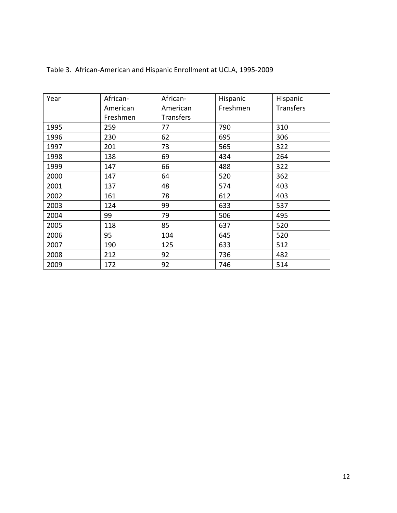| Year | African- | African-         | Hispanic | Hispanic         |
|------|----------|------------------|----------|------------------|
|      | American | American         | Freshmen | <b>Transfers</b> |
|      | Freshmen | <b>Transfers</b> |          |                  |
| 1995 | 259      | 77               | 790      | 310              |
| 1996 | 230      | 62               | 695      | 306              |
| 1997 | 201      | 73               | 565      | 322              |
| 1998 | 138      | 69               | 434      | 264              |
| 1999 | 147      | 66               | 488      | 322              |
| 2000 | 147      | 64               | 520      | 362              |
| 2001 | 137      | 48               | 574      | 403              |
| 2002 | 161      | 78               | 612      | 403              |
| 2003 | 124      | 99               | 633      | 537              |
| 2004 | 99       | 79               | 506      | 495              |
| 2005 | 118      | 85               | 637      | 520              |
| 2006 | 95       | 104              | 645      | 520              |
| 2007 | 190      | 125              | 633      | 512              |
| 2008 | 212      | 92               | 736      | 482              |
| 2009 | 172      | 92               | 746      | 514              |

# Table 3. African-American and Hispanic Enrollment at UCLA, 1995-2009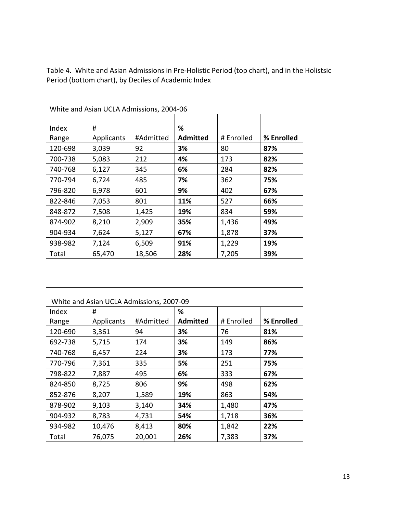Table 4. White and Asian Admissions in Pre-Holistic Period (top chart), and in the Holistsic Period (bottom chart), by Deciles of Academic Index

| White and Asian UCLA Admissions, 2004-06 |                   |           |                 |            |            |  |
|------------------------------------------|-------------------|-----------|-----------------|------------|------------|--|
|                                          |                   |           |                 |            |            |  |
| Index                                    | #                 |           | %               |            |            |  |
| Range                                    | <b>Applicants</b> | #Admitted | <b>Admitted</b> | # Enrolled | % Enrolled |  |
| 120-698                                  | 3,039             | 92        | 3%              | 80         | 87%        |  |
| 700-738                                  | 5,083             | 212       | 4%              | 173        | 82%        |  |
| 740-768                                  | 6,127             | 345       | 6%              | 284        | 82%        |  |
| 770-794                                  | 6,724             | 485       | 7%              | 362        | 75%        |  |
| 796-820                                  | 6,978             | 601       | 9%              | 402        | 67%        |  |
| 822-846                                  | 7,053             | 801       | 11%             | 527        | 66%        |  |
| 848-872                                  | 7,508             | 1,425     | 19%             | 834        | 59%        |  |
| 874-902                                  | 8,210             | 2,909     | 35%             | 1,436      | 49%        |  |
| 904-934                                  | 7,624             | 5,127     | 67%             | 1,878      | 37%        |  |
| 938-982                                  | 7,124             | 6,509     | 91%             | 1,229      | 19%        |  |
| Total                                    | 65,470            | 18,506    | 28%             | 7,205      | 39%        |  |

| White and Asian UCLA Admissions, 2007-09 |            |           |                 |            |            |  |
|------------------------------------------|------------|-----------|-----------------|------------|------------|--|
| Index                                    | #          |           | %               |            |            |  |
| Range                                    | Applicants | #Admitted | <b>Admitted</b> | # Enrolled | % Enrolled |  |
| 120-690                                  | 3,361      | 94        | 3%              | 76         | 81%        |  |
| 692-738                                  | 5,715      | 174       | 3%              | 149        | 86%        |  |
| 740-768                                  | 6,457      | 224       | 3%              | 173        | 77%        |  |
| 770-796                                  | 7,361      | 335       | 5%              | 251        | 75%        |  |
| 798-822                                  | 7,887      | 495       | 6%              | 333        | 67%        |  |
| 824-850                                  | 8,725      | 806       | 9%              | 498        | 62%        |  |
| 852-876                                  | 8,207      | 1,589     | 19%             | 863        | 54%        |  |
| 878-902                                  | 9,103      | 3,140     | 34%             | 1,480      | 47%        |  |
| 904-932                                  | 8,783      | 4,731     | 54%             | 1,718      | 36%        |  |
| 934-982                                  | 10,476     | 8,413     | 80%             | 1,842      | 22%        |  |
| Total                                    | 76,075     | 20,001    | 26%             | 7,383      | 37%        |  |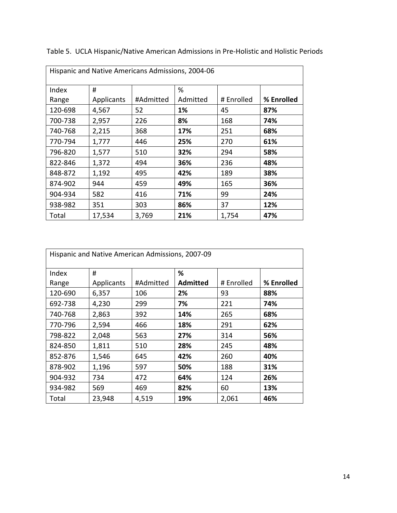| Hispanic and Native Americans Admissions, 2004-06 |                   |           |          |            |            |  |
|---------------------------------------------------|-------------------|-----------|----------|------------|------------|--|
| Index                                             | #                 |           | %        |            |            |  |
| Range                                             | <b>Applicants</b> | #Admitted | Admitted | # Enrolled | % Enrolled |  |
| 120-698                                           | 4,567             | 52        | 1%       | 45         | 87%        |  |
| 700-738                                           | 2,957             | 226       | 8%       | 168        | 74%        |  |
| 740-768                                           | 2,215             | 368       | 17%      | 251        | 68%        |  |
| 770-794                                           | 1,777             | 446       | 25%      | 270        | 61%        |  |
| 796-820                                           | 1,577             | 510       | 32%      | 294        | 58%        |  |
| 822-846                                           | 1,372             | 494       | 36%      | 236        | 48%        |  |
| 848-872                                           | 1,192             | 495       | 42%      | 189        | 38%        |  |
| 874-902                                           | 944               | 459       | 49%      | 165        | 36%        |  |
| 904-934                                           | 582               | 416       | 71%      | 99         | 24%        |  |
| 938-982                                           | 351               | 303       | 86%      | 37         | 12%        |  |
| Total                                             | 17,534            | 3,769     | 21%      | 1,754      | 47%        |  |

Table 5. UCLA Hispanic/Native American Admissions in Pre-Holistic and Holistic Periods

| Hispanic and Native American Admissions, 2007-09 |                   |           |                 |            |            |  |
|--------------------------------------------------|-------------------|-----------|-----------------|------------|------------|--|
| Index                                            | #                 |           | %               |            |            |  |
| Range                                            | <b>Applicants</b> | #Admitted | <b>Admitted</b> | # Enrolled | % Enrolled |  |
| 120-690                                          | 6,357             | 106       | 2%              | 93         | 88%        |  |
| 692-738                                          | 4,230             | 299       | 7%              | 221        | 74%        |  |
| 740-768                                          | 2,863             | 392       | 14%             | 265        | 68%        |  |
| 770-796                                          | 2,594             | 466       | 18%             | 291        | 62%        |  |
| 798-822                                          | 2,048             | 563       | 27%             | 314        | 56%        |  |
| 824-850                                          | 1,811             | 510       | 28%             | 245        | 48%        |  |
| 852-876                                          | 1,546             | 645       | 42%             | 260        | 40%        |  |
| 878-902                                          | 1,196             | 597       | 50%             | 188        | 31%        |  |
| 904-932                                          | 734               | 472       | 64%             | 124        | 26%        |  |
| 934-982                                          | 569               | 469       | 82%             | 60         | 13%        |  |
| Total                                            | 23,948            | 4,519     | 19%             | 2,061      | 46%        |  |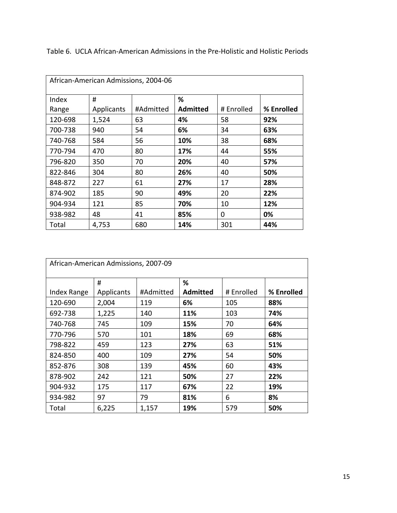| African-American Admissions, 2004-06 |            |           |                 |            |            |  |
|--------------------------------------|------------|-----------|-----------------|------------|------------|--|
| Index                                | #          |           | %               |            |            |  |
| Range                                | Applicants | #Admitted | <b>Admitted</b> | # Enrolled | % Enrolled |  |
| 120-698                              | 1,524      | 63        | 4%              | 58         | 92%        |  |
| 700-738                              | 940        | 54        | 6%              | 34         | 63%        |  |
| 740-768                              | 584        | 56        | 10%             | 38         | 68%        |  |
| 770-794                              | 470        | 80        | 17%             | 44         | 55%        |  |
| 796-820                              | 350        | 70        | 20%             | 40         | 57%        |  |
| 822-846                              | 304        | 80        | 26%             | 40         | 50%        |  |
| 848-872                              | 227        | 61        | 27%             | 17         | 28%        |  |
| 874-902                              | 185        | 90        | 49%             | 20         | 22%        |  |
| 904-934                              | 121        | 85        | 70%             | 10         | 12%        |  |
| 938-982                              | 48         | 41        | 85%             | 0          | 0%         |  |
| Total                                | 4,753      | 680       | 14%             | 301        | 44%        |  |

Table 6. UCLA African-American Admissions in the Pre-Holistic and Holistic Periods

| African-American Admissions, 2007-09 |            |           |                 |            |            |  |
|--------------------------------------|------------|-----------|-----------------|------------|------------|--|
|                                      | #          |           | %               |            |            |  |
| <b>Index Range</b>                   | Applicants | #Admitted | <b>Admitted</b> | # Enrolled | % Enrolled |  |
| 120-690                              | 2,004      | 119       | 6%              | 105        | 88%        |  |
| 692-738                              | 1,225      | 140       | 11%             | 103        | 74%        |  |
| 740-768                              | 745        | 109       | 15%             | 70         | 64%        |  |
| 770-796                              | 570        | 101       | 18%             | 69         | 68%        |  |
| 798-822                              | 459        | 123       | 27%             | 63         | 51%        |  |
| 824-850                              | 400        | 109       | 27%             | 54         | 50%        |  |
| 852-876                              | 308        | 139       | 45%             | 60         | 43%        |  |
| 878-902                              | 242        | 121       | 50%             | 27         | 22%        |  |
| 904-932                              | 175        | 117       | 67%             | 22         | 19%        |  |
| 934-982                              | 97         | 79        | 81%             | 6          | 8%         |  |
| Total                                | 6,225      | 1,157     | 19%             | 579        | 50%        |  |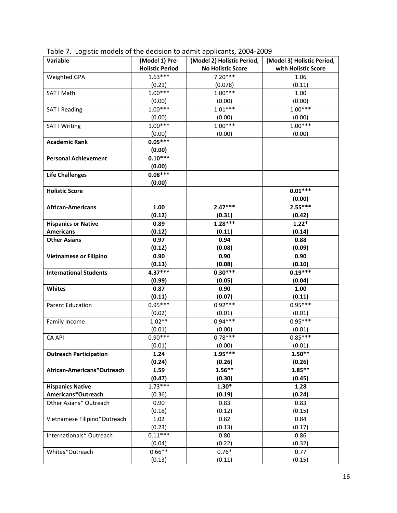| Variable                      | (Model 1) Pre-         | (Model 2) Holistic Period, | (Model 3) Holistic Period, |
|-------------------------------|------------------------|----------------------------|----------------------------|
|                               | <b>Holistic Period</b> | <b>No Holistic Score</b>   | with Holistic Score        |
| Weighted GPA                  | $1.63***$              | $7.20***$                  | 1.06                       |
|                               | (0.21)                 | (0.078)                    | (0.11)                     |
| SAT I Math                    | $1.00***$              | $1.00***$                  | 1.00                       |
|                               | (0.00)                 | (0.00)                     | (0.00)                     |
| SAT I Reading                 | $1.00***$              | $1.01***$                  | $1.00***$                  |
|                               | (0.00)                 | (0.00)                     | (0.00)                     |
| SAT I Writing                 | $1.00***$              | $1.00***$                  | $1.00***$                  |
|                               | (0.00)                 | (0.00)                     | (0.00)                     |
| <b>Academic Rank</b>          | $0.05***$              |                            |                            |
|                               | (0.00)                 |                            |                            |
| <b>Personal Achievement</b>   | $0.10***$              |                            |                            |
|                               | (0.00)                 |                            |                            |
| <b>Life Challenges</b>        | $0.08***$              |                            |                            |
|                               | (0.00)                 |                            |                            |
| <b>Holistic Score</b>         |                        |                            | $0.01***$                  |
|                               |                        |                            | (0.00)                     |
| <b>African-Americans</b>      | 1.00                   | $2.47***$                  | $2.55***$                  |
|                               | (0.12)                 | (0.31)                     | (0.42)                     |
| <b>Hispanics or Native</b>    | 0.89                   | $1.28***$                  | $1.22*$                    |
| <b>Americans</b>              | (0.12)                 | (0.11)                     | (0.14)                     |
| <b>Other Asians</b>           | 0.97                   | 0.94                       | 0.88                       |
|                               | (0.12)                 | (0.08)                     | (0.09)                     |
| <b>Vietnamese or Filipino</b> | 0.90                   | 0.90                       | 0.90                       |
|                               | (0.13)                 | (0.08)                     | (0.10)                     |
| <b>International Students</b> | 4.37***                | $0.30***$                  | $0.19***$                  |
|                               | (0.99)                 | (0.05)                     | (0.04)                     |
| <b>Whites</b>                 | 0.87                   | 0.90                       | 1.00                       |
|                               | (0.11)                 | (0.07)                     | (0.11)                     |
| <b>Parent Education</b>       | $0.95***$              | $0.92***$                  | $0.95***$                  |
|                               | (0.02)                 | (0.01)                     | (0.01)                     |
| Family Income                 | $1.02**$               | $0.94***$                  | $0.95***$                  |
|                               | (0.01)                 | (0.00)                     | (0.01)                     |
| <b>CA API</b>                 | $0.90***$              | $0.78***$                  | $0.85***$                  |
|                               | (0.01)                 | (0.00)                     | (0.01)                     |
| <b>Outreach Participation</b> | 1.24                   | $1.95***$                  | $1.50**$                   |
|                               | (0.24)                 | (0.26)                     | (0.26)                     |
| African-Americans*Outreach    | 1.59                   | $1.56**$                   | $1.85**$                   |
|                               | (0.47)                 | (0.30)                     | (0.45)                     |
| <b>Hispanics Native</b>       | $1.73***$              | $1.30*$                    | 1.28                       |
| Americans*Outreach            | (0.36)                 | (0.19)                     | (0.24)                     |
| Other Asians* Outreach        | 0.90                   | 0.83                       | 0.83                       |
|                               | (0.18)                 | (0.12)                     | (0.15)                     |
| Vietnamese Filipino*Outreach  | 1.02                   | 0.82                       | 0.84                       |
|                               | (0.23)                 | (0.13)                     | (0.17)                     |
| Internationals* Outreach      | $0.11***$              | 0.80                       | 0.86                       |
|                               | (0.04)                 | (0.22)                     | (0.32)                     |
| Whites*Outreach               | $0.66**$               | $0.76*$                    | 0.77                       |
|                               | (0.13)                 | (0.11)                     | (0.15)                     |

Table 7. Logistic models of the decision to admit applicants, 2004-2009